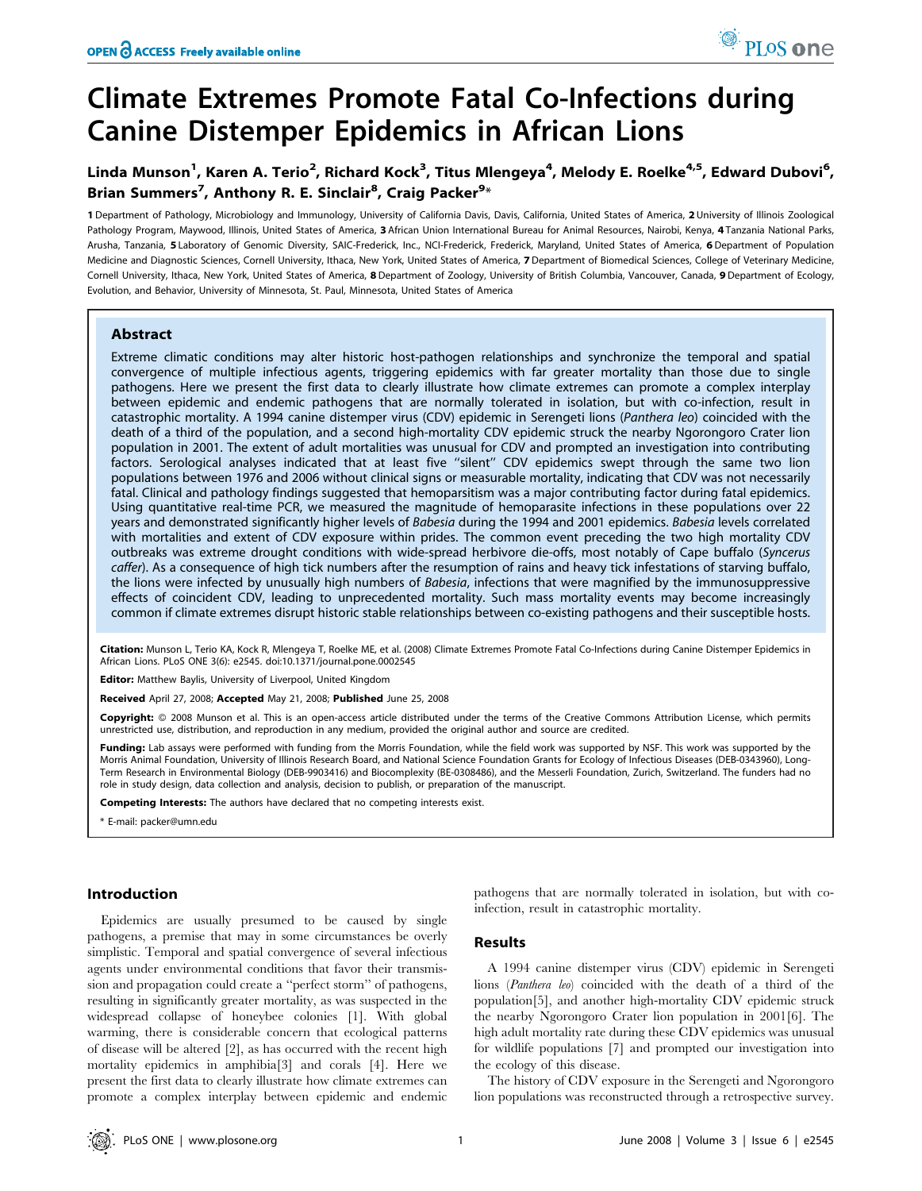# Climate Extremes Promote Fatal Co-Infections during Canine Distemper Epidemics in African Lions

## Linda Munson<sup>1</sup>, Karen A. Terio<sup>2</sup>, Richard Kock<sup>3</sup>, Titus Mlengeya<sup>4</sup>, Melody E. Roelke<sup>4,5</sup>, Edward Dubovi<sup>6</sup>, Brian Summers<sup>7</sup>, Anthony R. E. Sinclair<sup>8</sup>, Craig Packer<sup>9</sup>\*

1 Department of Pathology, Microbiology and Immunology, University of California Davis, Davis, California, United States of America, 2 University of Illinois Zoological Pathology Program, Maywood, Illinois, United States of America, 3 African Union International Bureau for Animal Resources, Nairobi, Kenya, 4 Tanzania National Parks, Arusha, Tanzania, 5 Laboratory of Genomic Diversity, SAIC-Frederick, Inc., NCI-Frederick, Frederick, Maryland, United States of America, 6 Department of Population Medicine and Diagnostic Sciences, Cornell University, Ithaca, New York, United States of America, 7 Department of Biomedical Sciences, College of Veterinary Medicine, Cornell University, Ithaca, New York, United States of America, 8 Department of Zoology, University of British Columbia, Vancouver, Canada, 9 Department of Ecology, Evolution, and Behavior, University of Minnesota, St. Paul, Minnesota, United States of America

## Abstract

Extreme climatic conditions may alter historic host-pathogen relationships and synchronize the temporal and spatial convergence of multiple infectious agents, triggering epidemics with far greater mortality than those due to single pathogens. Here we present the first data to clearly illustrate how climate extremes can promote a complex interplay between epidemic and endemic pathogens that are normally tolerated in isolation, but with co-infection, result in catastrophic mortality. A 1994 canine distemper virus (CDV) epidemic in Serengeti lions (Panthera leo) coincided with the death of a third of the population, and a second high-mortality CDV epidemic struck the nearby Ngorongoro Crater lion population in 2001. The extent of adult mortalities was unusual for CDV and prompted an investigation into contributing factors. Serological analyses indicated that at least five "silent" CDV epidemics swept through the same two lion populations between 1976 and 2006 without clinical signs or measurable mortality, indicating that CDV was not necessarily fatal. Clinical and pathology findings suggested that hemoparsitism was a major contributing factor during fatal epidemics. Using quantitative real-time PCR, we measured the magnitude of hemoparasite infections in these populations over 22 years and demonstrated significantly higher levels of Babesia during the 1994 and 2001 epidemics. Babesia levels correlated with mortalities and extent of CDV exposure within prides. The common event preceding the two high mortality CDV outbreaks was extreme drought conditions with wide-spread herbivore die-offs, most notably of Cape buffalo (Syncerus caffer). As a consequence of high tick numbers after the resumption of rains and heavy tick infestations of starving buffalo, the lions were infected by unusually high numbers of Babesia, infections that were magnified by the immunosuppressive effects of coincident CDV, leading to unprecedented mortality. Such mass mortality events may become increasingly common if climate extremes disrupt historic stable relationships between co-existing pathogens and their susceptible hosts.

Citation: Munson L, Terio KA, Kock R, Mlengeya T, Roelke ME, et al. (2008) Climate Extremes Promote Fatal Co-Infections during Canine Distemper Epidemics in African Lions. PLoS ONE 3(6): e2545. doi:10.1371/journal.pone.0002545

Editor: Matthew Baylis, University of Liverpool, United Kingdom

Received April 27, 2008; Accepted May 21, 2008; Published June 25, 2008

Copyright: @ 2008 Munson et al. This is an open-access article distributed under the terms of the Creative Commons Attribution License, which permits unrestricted use, distribution, and reproduction in any medium, provided the original author and source are credited.

Funding: Lab assays were performed with funding from the Morris Foundation, while the field work was supported by NSF. This work was supported by the Morris Animal Foundation, University of Illinois Research Board, and National Science Foundation Grants for Ecology of Infectious Diseases (DEB-0343960), Long-Term Research in Environmental Biology (DEB-9903416) and Biocomplexity (BE-0308486), and the Messerli Foundation, Zurich, Switzerland. The funders had no role in study design, data collection and analysis, decision to publish, or preparation of the manuscript.

Competing Interests: The authors have declared that no competing interests exist.

\* E-mail: packer@umn.edu

## Introduction

Epidemics are usually presumed to be caused by single pathogens, a premise that may in some circumstances be overly simplistic. Temporal and spatial convergence of several infectious agents under environmental conditions that favor their transmission and propagation could create a ''perfect storm'' of pathogens, resulting in significantly greater mortality, as was suspected in the widespread collapse of honeybee colonies [1]. With global warming, there is considerable concern that ecological patterns of disease will be altered [2], as has occurred with the recent high mortality epidemics in amphibia[3] and corals [4]. Here we present the first data to clearly illustrate how climate extremes can promote a complex interplay between epidemic and endemic

pathogens that are normally tolerated in isolation, but with coinfection, result in catastrophic mortality.

## Results

A 1994 canine distemper virus (CDV) epidemic in Serengeti lions (Panthera leo) coincided with the death of a third of the population[5], and another high-mortality CDV epidemic struck the nearby Ngorongoro Crater lion population in 2001[6]. The high adult mortality rate during these CDV epidemics was unusual for wildlife populations [7] and prompted our investigation into the ecology of this disease.

The history of CDV exposure in the Serengeti and Ngorongoro lion populations was reconstructed through a retrospective survey.

PLoS one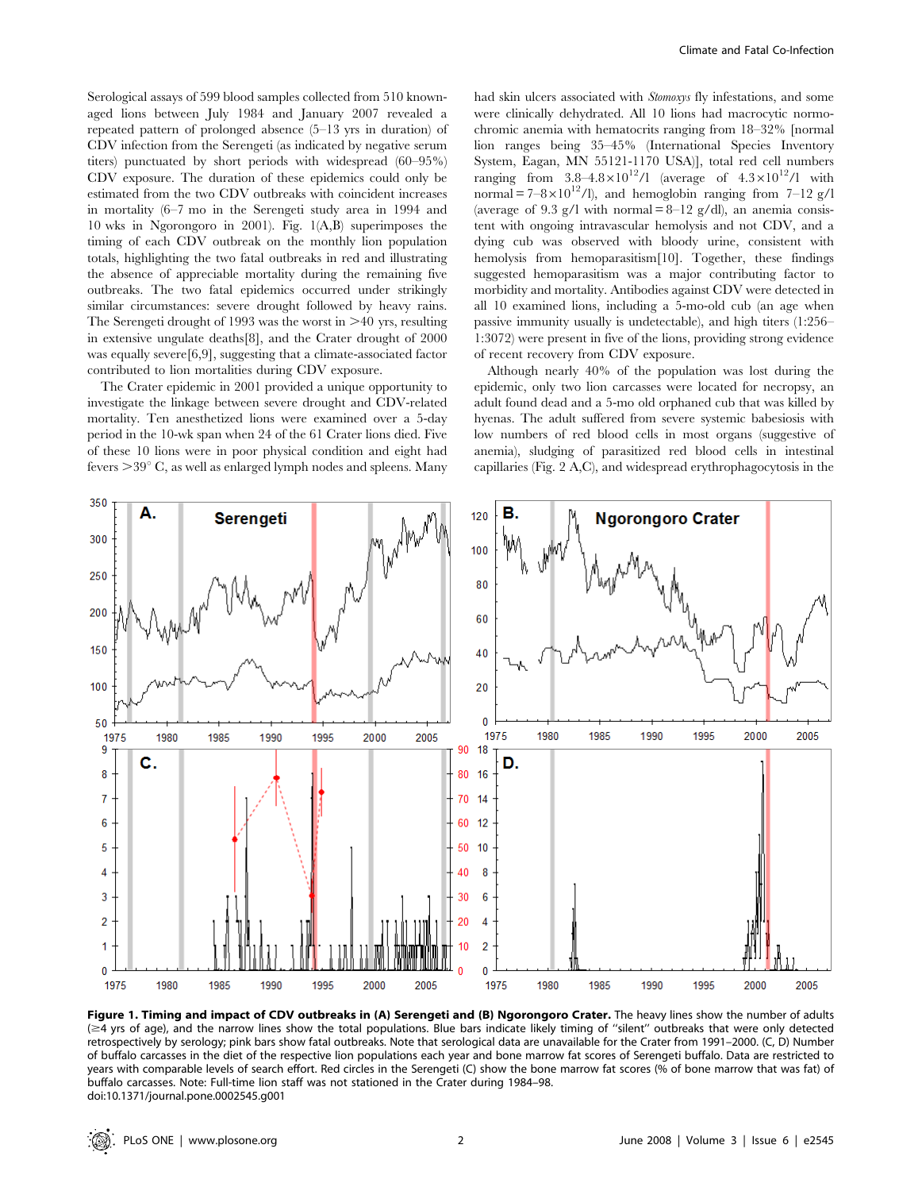Serological assays of 599 blood samples collected from 510 knownaged lions between July 1984 and January 2007 revealed a repeated pattern of prolonged absence (5–13 yrs in duration) of CDV infection from the Serengeti (as indicated by negative serum titers) punctuated by short periods with widespread (60–95%) CDV exposure. The duration of these epidemics could only be estimated from the two CDV outbreaks with coincident increases in mortality (6–7 mo in the Serengeti study area in 1994 and 10 wks in Ngorongoro in 2001). Fig. 1(A,B) superimposes the timing of each CDV outbreak on the monthly lion population totals, highlighting the two fatal outbreaks in red and illustrating the absence of appreciable mortality during the remaining five outbreaks. The two fatal epidemics occurred under strikingly similar circumstances: severe drought followed by heavy rains. The Serengeti drought of 1993 was the worst in  $\geq 40$  yrs, resulting in extensive ungulate deaths[8], and the Crater drought of 2000 was equally severe[6,9], suggesting that a climate-associated factor contributed to lion mortalities during CDV exposure.

The Crater epidemic in 2001 provided a unique opportunity to investigate the linkage between severe drought and CDV-related mortality. Ten anesthetized lions were examined over a 5-day period in the 10-wk span when 24 of the 61 Crater lions died. Five of these 10 lions were in poor physical condition and eight had fevers  $>39^{\circ}$  C, as well as enlarged lymph nodes and spleens. Many had skin ulcers associated with Stomoxys fly infestations, and some were clinically dehydrated. All 10 lions had macrocytic normochromic anemia with hematocrits ranging from 18–32% [normal lion ranges being 35–45% (International Species Inventory System, Eagan, MN 55121-1170 USA)], total red cell numbers ranging from  $3.8-4.8\times10^{12}$ /l (average of  $4.3\times10^{12}$ /l with normal =  $7-8\times10^{12}$ /l), and hemoglobin ranging from 7-12 g/l (average of 9.3 g/l with normal  $= 8-12$  g/dl), an anemia consistent with ongoing intravascular hemolysis and not CDV, and a dying cub was observed with bloody urine, consistent with hemolysis from hemoparasitism[10]. Together, these findings suggested hemoparasitism was a major contributing factor to morbidity and mortality. Antibodies against CDV were detected in all 10 examined lions, including a 5-mo-old cub (an age when passive immunity usually is undetectable), and high titers (1:256– 1:3072) were present in five of the lions, providing strong evidence of recent recovery from CDV exposure.

Although nearly 40% of the population was lost during the epidemic, only two lion carcasses were located for necropsy, an adult found dead and a 5-mo old orphaned cub that was killed by hyenas. The adult suffered from severe systemic babesiosis with low numbers of red blood cells in most organs (suggestive of anemia), sludging of parasitized red blood cells in intestinal capillaries (Fig. 2 A,C), and widespread erythrophagocytosis in the



Figure 1. Timing and impact of CDV outbreaks in (A) Serengeti and (B) Ngorongoro Crater. The heavy lines show the number of adults (≥4 yrs of age), and the narrow lines show the total populations. Blue bars indicate likely timing of "silent" outbreaks that were only detected retrospectively by serology; pink bars show fatal outbreaks. Note that serological data are unavailable for the Crater from 1991–2000. (C, D) Number of buffalo carcasses in the diet of the respective lion populations each year and bone marrow fat scores of Serengeti buffalo. Data are restricted to years with comparable levels of search effort. Red circles in the Serengeti (C) show the bone marrow fat scores (% of bone marrow that was fat) of buffalo carcasses. Note: Full-time lion staff was not stationed in the Crater during 1984–98. doi:10.1371/journal.pone.0002545.g001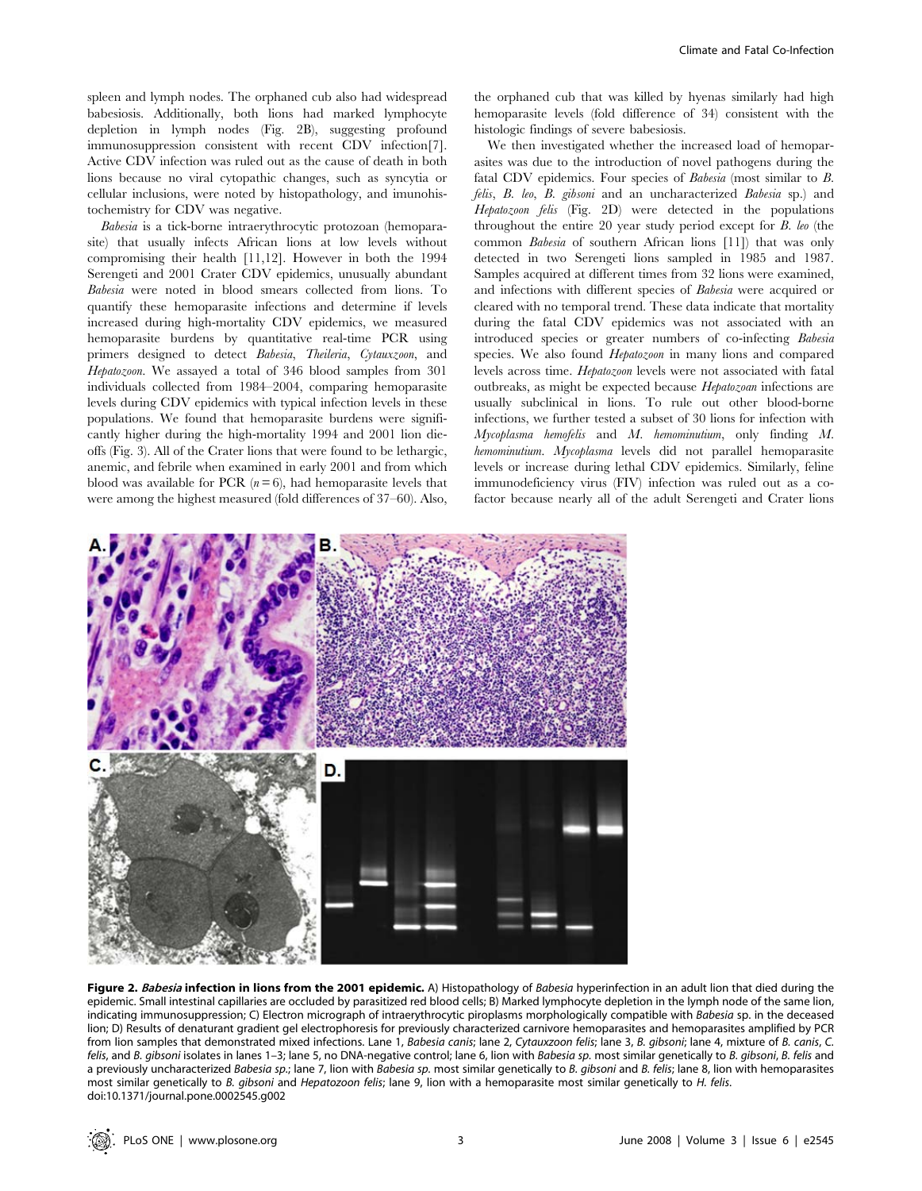spleen and lymph nodes. The orphaned cub also had widespread babesiosis. Additionally, both lions had marked lymphocyte depletion in lymph nodes (Fig. 2B), suggesting profound immunosuppression consistent with recent CDV infection[7]. Active CDV infection was ruled out as the cause of death in both lions because no viral cytopathic changes, such as syncytia or cellular inclusions, were noted by histopathology, and imunohistochemistry for CDV was negative.

Babesia is a tick-borne intraerythrocytic protozoan (hemoparasite) that usually infects African lions at low levels without compromising their health [11,12]. However in both the 1994 Serengeti and 2001 Crater CDV epidemics, unusually abundant Babesia were noted in blood smears collected from lions. To quantify these hemoparasite infections and determine if levels increased during high-mortality CDV epidemics, we measured hemoparasite burdens by quantitative real-time PCR using primers designed to detect Babesia, Theileria, Cytauxzoon, and Hepatozoon. We assayed a total of 346 blood samples from 301 individuals collected from 1984–2004, comparing hemoparasite levels during CDV epidemics with typical infection levels in these populations. We found that hemoparasite burdens were significantly higher during the high-mortality 1994 and 2001 lion dieoffs (Fig. 3). All of the Crater lions that were found to be lethargic, anemic, and febrile when examined in early 2001 and from which blood was available for PCR  $(n=6)$ , had hemoparasite levels that were among the highest measured (fold differences of 37–60). Also, the orphaned cub that was killed by hyenas similarly had high hemoparasite levels (fold difference of 34) consistent with the histologic findings of severe babesiosis.

We then investigated whether the increased load of hemoparasites was due to the introduction of novel pathogens during the fatal CDV epidemics. Four species of Babesia (most similar to B. felis, B. leo, B. gibsoni and an uncharacterized Babesia sp.) and Hepatozoon felis (Fig. 2D) were detected in the populations throughout the entire 20 year study period except for B. leo (the common Babesia of southern African lions [11]) that was only detected in two Serengeti lions sampled in 1985 and 1987. Samples acquired at different times from 32 lions were examined, and infections with different species of Babesia were acquired or cleared with no temporal trend. These data indicate that mortality during the fatal CDV epidemics was not associated with an introduced species or greater numbers of co-infecting Babesia species. We also found Hepatozoon in many lions and compared levels across time. Hepatozoon levels were not associated with fatal outbreaks, as might be expected because Hepatozoan infections are usually subclinical in lions. To rule out other blood-borne infections, we further tested a subset of 30 lions for infection with Mycoplasma hemofelis and M. hemominutium, only finding M. hemominutium. Mycoplasma levels did not parallel hemoparasite levels or increase during lethal CDV epidemics. Similarly, feline immunodeficiency virus (FIV) infection was ruled out as a cofactor because nearly all of the adult Serengeti and Crater lions



Figure 2. Babesia infection in lions from the 2001 epidemic. A) Histopathology of Babesia hyperinfection in an adult lion that died during the epidemic. Small intestinal capillaries are occluded by parasitized red blood cells; B) Marked lymphocyte depletion in the lymph node of the same lion, indicating immunosuppression; C) Electron micrograph of intraerythrocytic piroplasms morphologically compatible with Babesia sp. in the deceased lion; D) Results of denaturant gradient gel electrophoresis for previously characterized carnivore hemoparasites and hemoparasites amplified by PCR from lion samples that demonstrated mixed infections. Lane 1, Babesia canis; lane 2, Cytauxzoon felis; lane 3, B. gibsoni; lane 4, mixture of B. canis, C. felis, and B. gibsoni isolates in lanes 1-3; lane 5, no DNA-negative control; lane 6, lion with Babesia sp. most similar genetically to B. gibsoni, B. felis and a previously uncharacterized Babesia sp.; lane 7, lion with Babesia sp. most similar genetically to B. gibsoni and B. felis; lane 8, lion with hemoparasites most similar genetically to B. gibsoni and Hepatozoon felis; lane 9, lion with a hemoparasite most similar genetically to H. felis. doi:10.1371/journal.pone.0002545.g002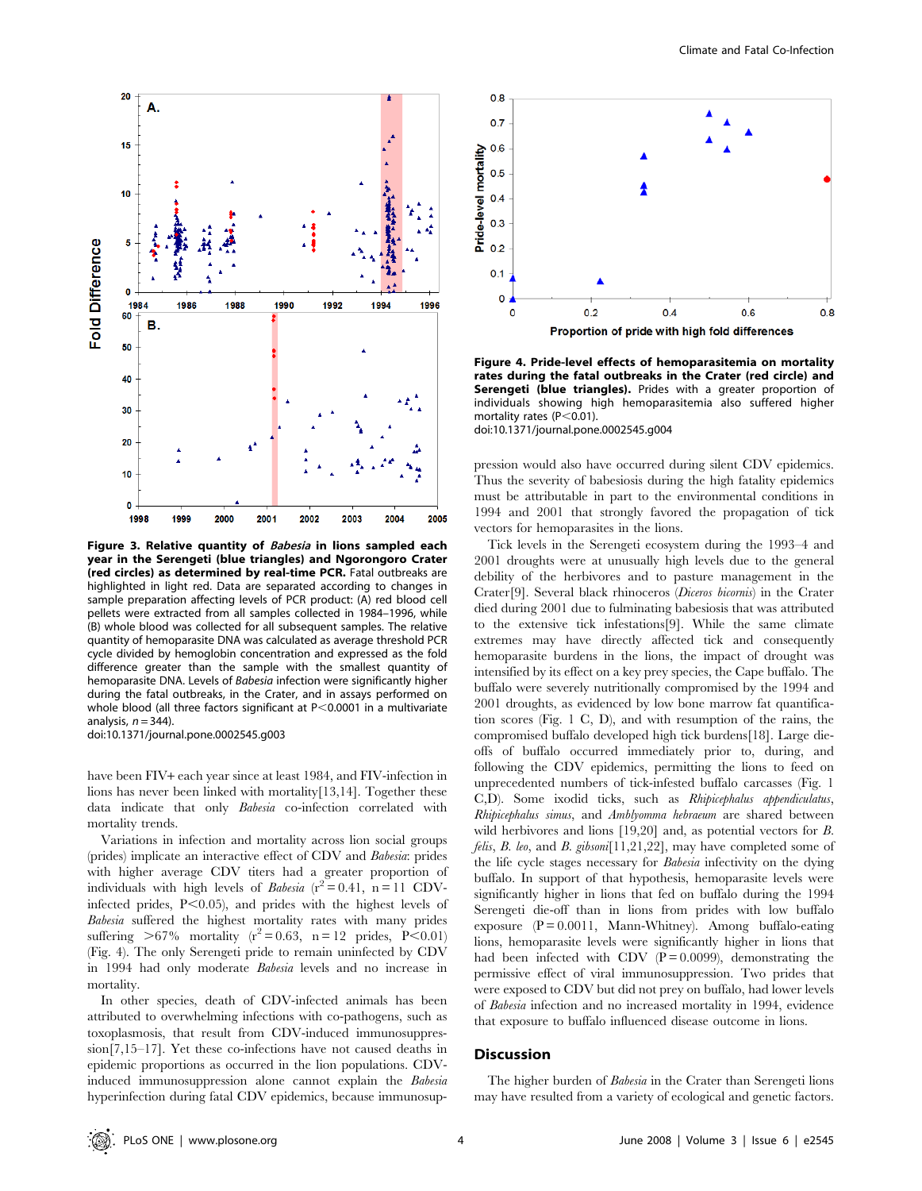

Figure 3. Relative quantity of Babesia in lions sampled each year in the Serengeti (blue triangles) and Ngorongoro Crater (red circles) as determined by real-time PCR. Fatal outbreaks are highlighted in light red. Data are separated according to changes in sample preparation affecting levels of PCR product: (A) red blood cell pellets were extracted from all samples collected in 1984–1996, while (B) whole blood was collected for all subsequent samples. The relative quantity of hemoparasite DNA was calculated as average threshold PCR cycle divided by hemoglobin concentration and expressed as the fold difference greater than the sample with the smallest quantity of hemoparasite DNA. Levels of Babesia infection were significantly higher during the fatal outbreaks, in the Crater, and in assays performed on whole blood (all three factors significant at  $P<0.0001$  in a multivariate analysis,  $n = 344$ ).

doi:10.1371/journal.pone.0002545.g003

have been FIV+ each year since at least 1984, and FIV-infection in lions has never been linked with mortality[13,14]. Together these data indicate that only Babesia co-infection correlated with mortality trends.

Variations in infection and mortality across lion social groups (prides) implicate an interactive effect of CDV and Babesia: prides with higher average CDV titers had a greater proportion of individuals with high levels of *Babesia*  $(r^2 = 0.41, n = 11$  CDVinfected prides,  $P<0.05$ ), and prides with the highest levels of Babesia suffered the highest mortality rates with many prides suffering  $>67\%$  mortality ( $r^2 = 0.63$ , n = 12 prides, P<0.01) (Fig. 4). The only Serengeti pride to remain uninfected by CDV in 1994 had only moderate Babesia levels and no increase in mortality.

In other species, death of CDV-infected animals has been attributed to overwhelming infections with co-pathogens, such as toxoplasmosis, that result from CDV-induced immunosuppression[7,15–17]. Yet these co-infections have not caused deaths in epidemic proportions as occurred in the lion populations. CDVinduced immunosuppression alone cannot explain the Babesia hyperinfection during fatal CDV epidemics, because immunosup-



Figure 4. Pride-level effects of hemoparasitemia on mortality rates during the fatal outbreaks in the Crater (red circle) and Serengeti (blue triangles). Prides with a greater proportion of individuals showing high hemoparasitemia also suffered higher mortality rates ( $P < 0.01$ ).

doi:10.1371/journal.pone.0002545.g004

pression would also have occurred during silent CDV epidemics. Thus the severity of babesiosis during the high fatality epidemics must be attributable in part to the environmental conditions in 1994 and 2001 that strongly favored the propagation of tick vectors for hemoparasites in the lions.

Tick levels in the Serengeti ecosystem during the 1993–4 and 2001 droughts were at unusually high levels due to the general debility of the herbivores and to pasture management in the Crater[9]. Several black rhinoceros (Diceros bicornis) in the Crater died during 2001 due to fulminating babesiosis that was attributed to the extensive tick infestations[9]. While the same climate extremes may have directly affected tick and consequently hemoparasite burdens in the lions, the impact of drought was intensified by its effect on a key prey species, the Cape buffalo. The buffalo were severely nutritionally compromised by the 1994 and 2001 droughts, as evidenced by low bone marrow fat quantification scores (Fig. 1 C, D), and with resumption of the rains, the compromised buffalo developed high tick burdens[18]. Large dieoffs of buffalo occurred immediately prior to, during, and following the CDV epidemics, permitting the lions to feed on unprecedented numbers of tick-infested buffalo carcasses (Fig. 1 C,D). Some ixodid ticks, such as Rhipicephalus appendiculatus, Rhipicephalus simus, and Amblyomma hebraeum are shared between wild herbivores and lions [19,20] and, as potential vectors for B. felis, B. leo, and B. gibsoni[11,21,22], may have completed some of the life cycle stages necessary for Babesia infectivity on the dying buffalo. In support of that hypothesis, hemoparasite levels were significantly higher in lions that fed on buffalo during the 1994 Serengeti die-off than in lions from prides with low buffalo exposure  $(P = 0.0011$ , Mann-Whitney). Among buffalo-eating lions, hemoparasite levels were significantly higher in lions that had been infected with CDV  $(P = 0.0099)$ , demonstrating the permissive effect of viral immunosuppression. Two prides that were exposed to CDV but did not prey on buffalo, had lower levels of Babesia infection and no increased mortality in 1994, evidence that exposure to buffalo influenced disease outcome in lions.

#### **Discussion**

The higher burden of Babesia in the Crater than Serengeti lions may have resulted from a variety of ecological and genetic factors.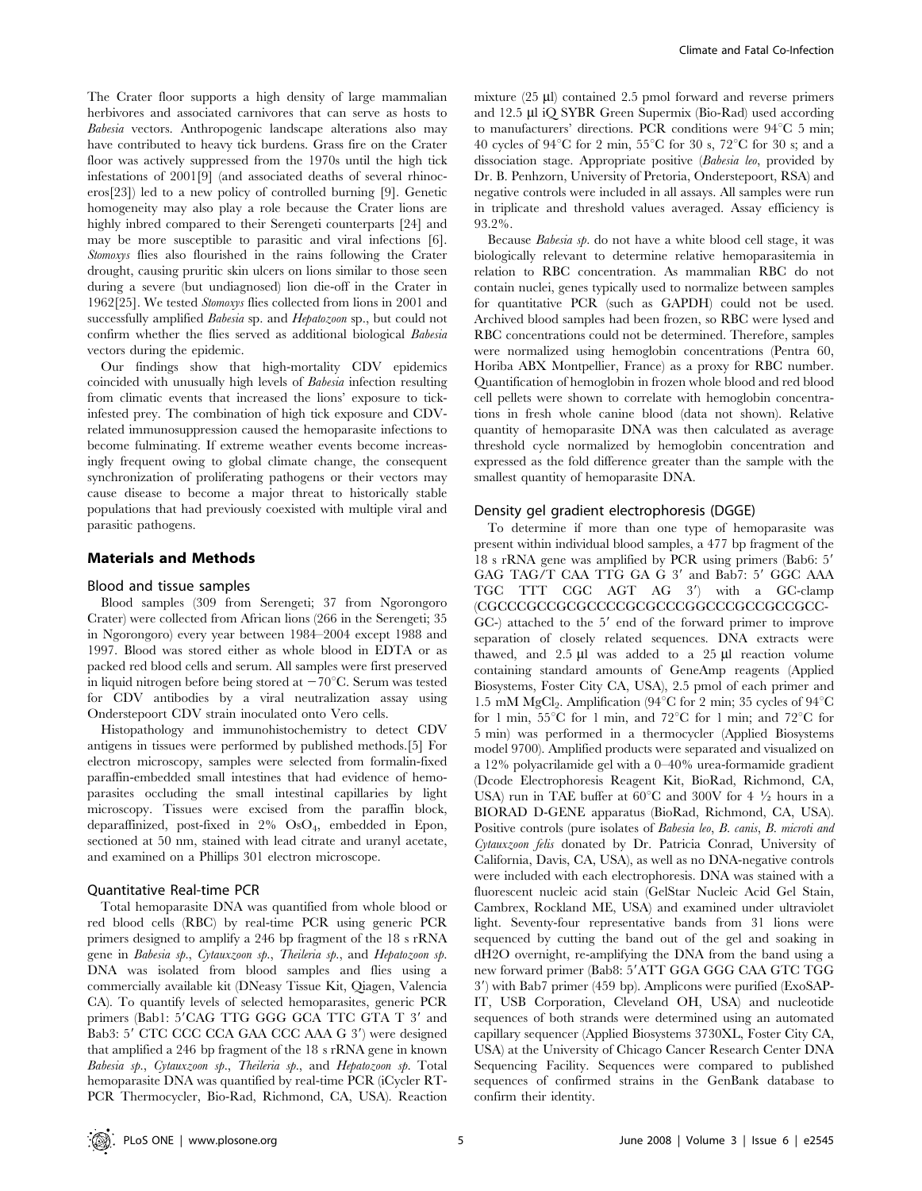The Crater floor supports a high density of large mammalian herbivores and associated carnivores that can serve as hosts to Babesia vectors. Anthropogenic landscape alterations also may have contributed to heavy tick burdens. Grass fire on the Crater floor was actively suppressed from the 1970s until the high tick infestations of 2001[9] (and associated deaths of several rhinoceros[23]) led to a new policy of controlled burning [9]. Genetic homogeneity may also play a role because the Crater lions are highly inbred compared to their Serengeti counterparts [24] and may be more susceptible to parasitic and viral infections [6]. Stomoxys flies also flourished in the rains following the Crater drought, causing pruritic skin ulcers on lions similar to those seen during a severe (but undiagnosed) lion die-off in the Crater in 1962[25]. We tested Stomoxys flies collected from lions in 2001 and successfully amplified Babesia sp. and Hepatozoon sp., but could not confirm whether the flies served as additional biological Babesia vectors during the epidemic.

Our findings show that high-mortality CDV epidemics coincided with unusually high levels of Babesia infection resulting from climatic events that increased the lions' exposure to tickinfested prey. The combination of high tick exposure and CDVrelated immunosuppression caused the hemoparasite infections to become fulminating. If extreme weather events become increasingly frequent owing to global climate change, the consequent synchronization of proliferating pathogens or their vectors may cause disease to become a major threat to historically stable populations that had previously coexisted with multiple viral and parasitic pathogens.

## Materials and Methods

#### Blood and tissue samples

Blood samples (309 from Serengeti; 37 from Ngorongoro Crater) were collected from African lions (266 in the Serengeti; 35 in Ngorongoro) every year between 1984–2004 except 1988 and 1997. Blood was stored either as whole blood in EDTA or as packed red blood cells and serum. All samples were first preserved in liquid nitrogen before being stored at  $-70^{\circ}$ C. Serum was tested for CDV antibodies by a viral neutralization assay using Onderstepoort CDV strain inoculated onto Vero cells.

Histopathology and immunohistochemistry to detect CDV antigens in tissues were performed by published methods.[5] For electron microscopy, samples were selected from formalin-fixed paraffin-embedded small intestines that had evidence of hemoparasites occluding the small intestinal capillaries by light microscopy. Tissues were excised from the paraffin block, deparaffinized, post-fixed in  $2\%$  OsO<sub>4</sub>, embedded in Epon, sectioned at 50 nm, stained with lead citrate and uranyl acetate, and examined on a Phillips 301 electron microscope.

#### Quantitative Real-time PCR

Total hemoparasite DNA was quantified from whole blood or red blood cells (RBC) by real-time PCR using generic PCR primers designed to amplify a 246 bp fragment of the 18 s rRNA gene in Babesia sp., Cytauxzoon sp., Theileria sp., and Hepatozoon sp. DNA was isolated from blood samples and flies using a commercially available kit (DNeasy Tissue Kit, Qiagen, Valencia CA). To quantify levels of selected hemoparasites, generic PCR primers (Bab1: 5'CAG TTG GGG GCA TTC GTA T 3' and Bab3: 5' CTC CCC CCA GAA CCC AAA G 3') were designed that amplified a 246 bp fragment of the 18 s rRNA gene in known Babesia sp., Cytauxzoon sp., Theileria sp., and Hepatozoon sp. Total hemoparasite DNA was quantified by real-time PCR (iCycler RT-PCR Thermocycler, Bio-Rad, Richmond, CA, USA). Reaction mixture (25 µl) contained 2.5 pmol forward and reverse primers and 12.5 µl iQ SYBR Green Supermix (Bio-Rad) used according to manufacturers' directions. PCR conditions were  $94^{\circ}$ C 5 min; 40 cycles of 94 $^{\circ}$ C for 2 min, 55 $^{\circ}$ C for 30 s, 72 $^{\circ}$ C for 30 s; and a dissociation stage. Appropriate positive (Babesia leo, provided by Dr. B. Penhzorn, University of Pretoria, Onderstepoort, RSA) and negative controls were included in all assays. All samples were run in triplicate and threshold values averaged. Assay efficiency is 93.2%.

Because Babesia sp. do not have a white blood cell stage, it was biologically relevant to determine relative hemoparasitemia in relation to RBC concentration. As mammalian RBC do not contain nuclei, genes typically used to normalize between samples for quantitative PCR (such as GAPDH) could not be used. Archived blood samples had been frozen, so RBC were lysed and RBC concentrations could not be determined. Therefore, samples were normalized using hemoglobin concentrations (Pentra 60, Horiba ABX Montpellier, France) as a proxy for RBC number. Quantification of hemoglobin in frozen whole blood and red blood cell pellets were shown to correlate with hemoglobin concentrations in fresh whole canine blood (data not shown). Relative quantity of hemoparasite DNA was then calculated as average threshold cycle normalized by hemoglobin concentration and expressed as the fold difference greater than the sample with the smallest quantity of hemoparasite DNA.

#### Density gel gradient electrophoresis (DGGE)

To determine if more than one type of hemoparasite was present within individual blood samples, a 477 bp fragment of the 18 s rRNA gene was amplified by PCR using primers (Bab6: 5' GAG TAG/T CAA TTG GA G 3' and Bab7: 5' GGC AAA TGC TTT CGC AGT AG 3') with a GC-clamp (CGCCCGCCGCGCCCCGCGCCCGGCCCGCCGCCGCC- $GC$ -) attached to the  $5'$  end of the forward primer to improve separation of closely related sequences. DNA extracts were thawed, and  $2.5 \mu l$  was added to a  $25 \mu l$  reaction volume containing standard amounts of GeneAmp reagents (Applied Biosystems, Foster City CA, USA), 2.5 pmol of each primer and 1.5 mM MgCl<sub>2</sub>. Amplification (94 $^{\circ}$ C for 2 min; 35 cycles of 94 $^{\circ}$ C for 1 min,  $55^{\circ}$ C for 1 min, and  $72^{\circ}$ C for 1 min; and  $72^{\circ}$ C for 5 min) was performed in a thermocycler (Applied Biosystems model 9700). Amplified products were separated and visualized on a 12% polyacrilamide gel with a 0–40% urea-formamide gradient (Dcode Electrophoresis Reagent Kit, BioRad, Richmond, CA, USA) run in TAE buffer at  $60^{\circ}$ C and  $300V$  for  $4\frac{1}{2}$  hours in a BIORAD D-GENE apparatus (BioRad, Richmond, CA, USA). Positive controls (pure isolates of Babesia leo, B. canis, B. microti and Cytauxzoon felis donated by Dr. Patricia Conrad, University of California, Davis, CA, USA), as well as no DNA-negative controls were included with each electrophoresis. DNA was stained with a fluorescent nucleic acid stain (GelStar Nucleic Acid Gel Stain, Cambrex, Rockland ME, USA) and examined under ultraviolet light. Seventy-four representative bands from 31 lions were sequenced by cutting the band out of the gel and soaking in dH2O overnight, re-amplifying the DNA from the band using a new forward primer (Bab8: 5'ATT GGA GGG CAA GTC TGG 3') with Bab7 primer (459 bp). Amplicons were purified (ExoSAP-IT, USB Corporation, Cleveland OH, USA) and nucleotide sequences of both strands were determined using an automated capillary sequencer (Applied Biosystems 3730XL, Foster City CA, USA) at the University of Chicago Cancer Research Center DNA Sequencing Facility. Sequences were compared to published sequences of confirmed strains in the GenBank database to confirm their identity.